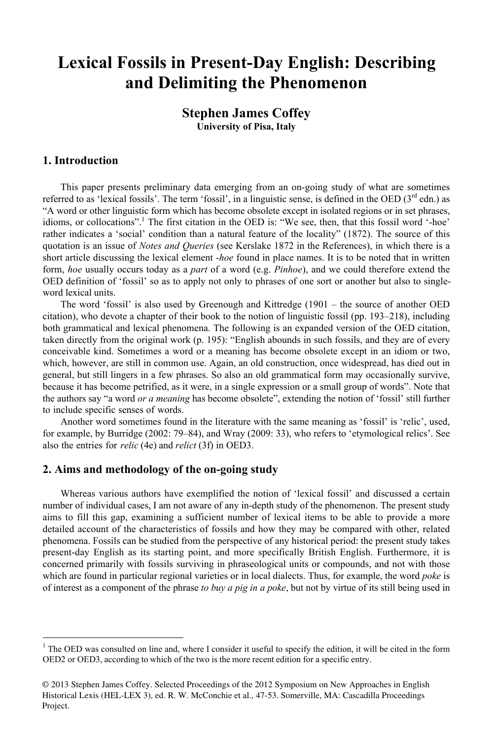# **Lexical Fossils in Present-Day English: Describing and Delimiting the Phenomenon**

# **Stephen James Coffey University of Pisa, Italy**

## **1. Introduction**

 $\overline{a}$ 

This paper presents preliminary data emerging from an on-going study of what are sometimes referred to as 'lexical fossils'. The term 'fossil', in a linguistic sense, is defined in the OED  $(3<sup>rd</sup>$  edn.) as "A word or other linguistic form which has become obsolete except in isolated regions or in set phrases, idioms, or collocations".<sup>1</sup> The first citation in the OED is: "We see, then, that this fossil word '-hoe' rather indicates a 'social' condition than a natural feature of the locality" (1872). The source of this quotation is an issue of *Notes and Queries* (see Kerslake 1872 in the References), in which there is a short article discussing the lexical element -*hoe* found in place names. It is to be noted that in written form, *hoe* usually occurs today as a *part* of a word (e.g. *Pinhoe*), and we could therefore extend the OED definition of 'fossil' so as to apply not only to phrases of one sort or another but also to singleword lexical units.

The word 'fossil' is also used by Greenough and Kittredge (1901 – the source of another OED citation), who devote a chapter of their book to the notion of linguistic fossil (pp. 193–218), including both grammatical and lexical phenomena. The following is an expanded version of the OED citation, taken directly from the original work (p. 195): "English abounds in such fossils, and they are of every conceivable kind. Sometimes a word or a meaning has become obsolete except in an idiom or two, which, however, are still in common use. Again, an old construction, once widespread, has died out in general, but still lingers in a few phrases. So also an old grammatical form may occasionally survive, because it has become petrified, as it were, in a single expression or a small group of words". Note that the authors say "a word *or a meaning* has become obsolete", extending the notion of 'fossil' still further to include specific senses of words.

Another word sometimes found in the literature with the same meaning as 'fossil' is 'relic', used, for example, by Burridge (2002: 79–84), and Wray (2009: 33), who refers to 'etymological relics'. See also the entries for *relic* (4e) and *relict* (3f) in OED3.

#### **2. Aims and methodology of the on-going study**

Whereas various authors have exemplified the notion of 'lexical fossil' and discussed a certain number of individual cases, I am not aware of any in-depth study of the phenomenon. The present study aims to fill this gap, examining a sufficient number of lexical items to be able to provide a more detailed account of the characteristics of fossils and how they may be compared with other, related phenomena. Fossils can be studied from the perspective of any historical period: the present study takes present-day English as its starting point, and more specifically British English. Furthermore, it is concerned primarily with fossils surviving in phraseological units or compounds, and not with those which are found in particular regional varieties or in local dialects. Thus, for example, the word *poke* is of interest as a component of the phrase *to buy a pig in a poke*, but not by virtue of its still being used in

<sup>&</sup>lt;sup>1</sup> The OED was consulted on line and, where I consider it useful to specify the edition, it will be cited in the form OED2 or OED3, according to which of the two is the more recent edition for a specific entry.

<sup>© 2013</sup> Stephen James Coffey. Selected Proceedings of the 2012 Symposium on New Approaches in English Historical Lexis (HEL-LEX 3), ed. R. W. McConchie et al., 47-53. Somerville, MA: Cascadilla Proceedings Project.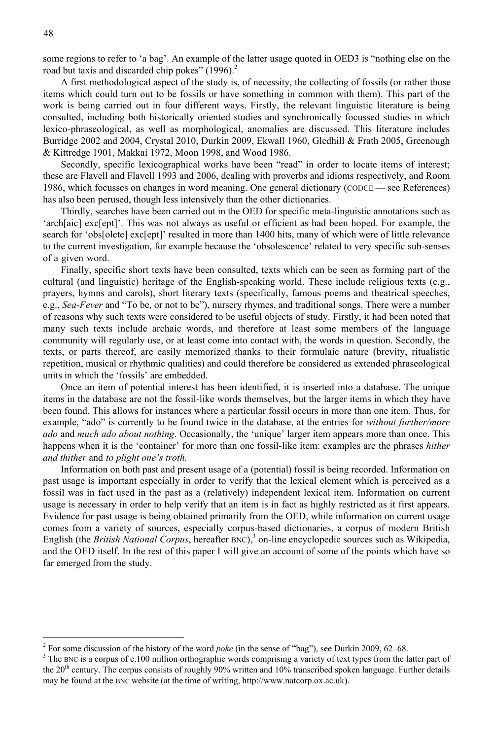some regions to refer to 'a bag'. An example of the latter usage quoted in OED3 is "nothing else on the road but taxis and discarded chip pokes" (1996).<sup>2</sup>

A first methodological aspect of the study is, of necessity, the collecting of fossils (or rather those items which could turn out to be fossils or have something in common with them). This part of the work is being carried out in four different ways. Firstly, the relevant linguistic literature is being consulted, including both historically oriented studies and synchronically focussed studies in which lexico-phraseological, as well as morphological, anomalies are discussed. This literature includes Burridge 2002 and 2004, Crystal 2010, Durkin 2009, Ekwall 1960, Gledhill & Frath 2005, Greenough & Kittredge 1901, Makkai 1972, Moon 1998, and Wood 1986.

Secondly, specific lexicographical works have been "read" in order to locate items of interest; these are Flavell and Flavell 1993 and 2006, dealing with proverbs and idioms respectively, and Room 1986, which focusses on changes in word meaning. One general dictionary (CODCE — see References) has also been perused, though less intensively than the other dictionaries.

Thirdly, searches have been carried out in the OED for specific meta-linguistic annotations such as 'arch[aic] exc[ept]'. This was not always as useful or efficient as had been hoped. For example, the search for 'obs[olete] exc[ept]' resulted in more than 1400 hits, many of which were of little relevance to the current investigation, for example because the 'obsolescence' related to very specific sub-senses of a given word.

Finally, specific short texts have been consulted, texts which can be seen as forming part of the cultural (and linguistic) heritage of the English-speaking world. These include religious texts (e.g., prayers, hymns and carols), short literary texts (specifically, famous poems and theatrical speeches, e.g., *Sea-Fever* and "To be, or not to be"), nursery rhymes, and traditional songs. There were a number of reasons why such texts were considered to be useful objects of study. Firstly, it had been noted that many such texts include archaic words, and therefore at least some members of the language community will regularly use, or at least come into contact with, the words in question. Secondly, the texts, or parts thereof, are easily memorized thanks to their formulaic nature (brevity, ritualistic repetition, musical or rhythmic qualities) and could therefore be considered as extended phraseological units in which the 'fossils' are embedded.

Once an item of potential interest has been identified, it is inserted into a database. The unique items in the database are not the fossil-like words themselves, but the larger items in which they have been found. This allows for instances where a particular fossil occurs in more than one item. Thus, for example, "ado" is currently to be found twice in the database, at the entries for *without further/more ado* and *much ado about nothing*. Occasionally, the 'unique' larger item appears more than once. This happens when it is the 'container' for more than one fossil-like item: examples are the phrases *hither and thither* and *to plight one's troth.*

Information on both past and present usage of a (potential) fossil is being recorded. Information on past usage is important especially in order to verify that the lexical element which is perceived as a fossil was in fact used in the past as a (relatively) independent lexical item. Information on current usage is necessary in order to help verify that an item is in fact as highly restricted as it first appears. Evidence for past usage is being obtained primarily from the OED, while information on current usage comes from a variety of sources, especially corpus-based dictionaries, a corpus of modern British English (the *British National Corpus*, hereafter BNC),<sup>3</sup> on-line encyclopedic sources such as Wikipedia, and the OED itself. In the rest of this paper I will give an account of some of the points which have so far emerged from the study.

 $\overline{a}$ 

<sup>&</sup>lt;sup>2</sup> For some discussion of the history of the word *poke* (in the sense of "bag"), see Durkin 2009, 62–68.  $3^3$  The DNG is a corpus of a 100 million orthographic words comprising a verigty of taxt times from the le

 $3$  The BNC is a corpus of c.100 million orthographic words comprising a variety of text types from the latter part of the  $20<sup>th</sup>$  century. The corpus consists of roughly 90% written and 10% transcribed spoken language. Further details may be found at the BNC website (at the time of writing, http://www.natcorp.ox.ac.uk).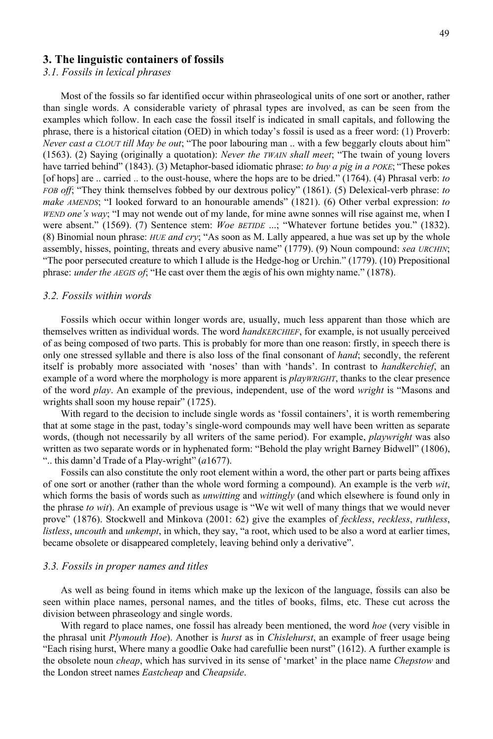#### **3. The linguistic containers of fossils**

#### *3.1. Fossils in lexical phrases*

Most of the fossils so far identified occur within phraseological units of one sort or another, rather than single words. A considerable variety of phrasal types are involved, as can be seen from the examples which follow. In each case the fossil itself is indicated in small capitals, and following the phrase, there is a historical citation (OED) in which today's fossil is used as a freer word: (1) Proverb: *Never cast a CLOUT till May be out*; "The poor labouring man .. with a few beggarly clouts about him" (1563). (2) Saying (originally a quotation): *Never the TWAIN shall meet*; "The twain of young lovers have tarried behind" (1843). (3) Metaphor-based idiomatic phrase: *to buy a pig in a POKE*; "These pokes [of hops] are .. carried .. to the oust-house, where the hops are to be dried." (1764). (4) Phrasal verb: *to FOB off*; "They think themselves fobbed by our dextrous policy" (1861). (5) Delexical-verb phrase: *to make AMENDS*; "I looked forward to an honourable amends" (1821). (6) Other verbal expression: *to WEND one's way*; "I may not wende out of my lande, for mine awne sonnes will rise against me, when I were absent." (1569). (7) Sentence stem: *Woe BETIDE* ...; "Whatever fortune betides you." (1832). (8) Binomial noun phrase: *HUE and cry*; "As soon as M. Lally appeared, a hue was set up by the whole assembly, hisses, pointing, threats and every abusive name" (1779). (9) Noun compound: *sea URCHIN*; "The poor persecuted creature to which I allude is the Hedge-hog or Urchin." (1779). (10) Prepositional phrase: *under the AEGIS of*; "He cast over them the ægis of his own mighty name." (1878).

#### *3.2. Fossils within words*

Fossils which occur within longer words are, usually, much less apparent than those which are themselves written as individual words. The word *handKERCHIEF*, for example, is not usually perceived of as being composed of two parts. This is probably for more than one reason: firstly, in speech there is only one stressed syllable and there is also loss of the final consonant of *hand*; secondly, the referent itself is probably more associated with 'noses' than with 'hands'. In contrast to *handkerchief*, an example of a word where the morphology is more apparent is *playWRIGHT*, thanks to the clear presence of the word *play*. An example of the previous, independent, use of the word *wright* is "Masons and wrights shall soon my house repair" (1725).

With regard to the decision to include single words as 'fossil containers', it is worth remembering that at some stage in the past, today's single-word compounds may well have been written as separate words, (though not necessarily by all writers of the same period). For example, *playwright* was also written as two separate words or in hyphenated form: "Behold the play wright Barney Bidwell" (1806), ".. this damn'd Trade of a Play-wright" (*a*1677).

Fossils can also constitute the only root element within a word, the other part or parts being affixes of one sort or another (rather than the whole word forming a compound). An example is the verb *wit*, which forms the basis of words such as *unwitting* and *wittingly* (and which elsewhere is found only in the phrase *to wit*). An example of previous usage is "We wit well of many things that we would never prove" (1876). Stockwell and Minkova (2001: 62) give the examples of *feckless*, *reckless*, *ruthless*, *listless*, *uncouth* and *unkempt*, in which, they say, "a root, which used to be also a word at earlier times, became obsolete or disappeared completely, leaving behind only a derivative".

#### *3.3. Fossils in proper names and titles*

As well as being found in items which make up the lexicon of the language, fossils can also be seen within place names, personal names, and the titles of books, films, etc. These cut across the division between phraseology and single words.

With regard to place names, one fossil has already been mentioned, the word *hoe* (very visible in the phrasal unit *Plymouth Hoe*). Another is *hurst* as in *Chislehurst*, an example of freer usage being "Each rising hurst, Where many a goodlie Oake had carefullie been nurst" (1612). A further example is the obsolete noun *cheap*, which has survived in its sense of 'market' in the place name *Chepstow* and the London street names *Eastcheap* and *Cheapside*.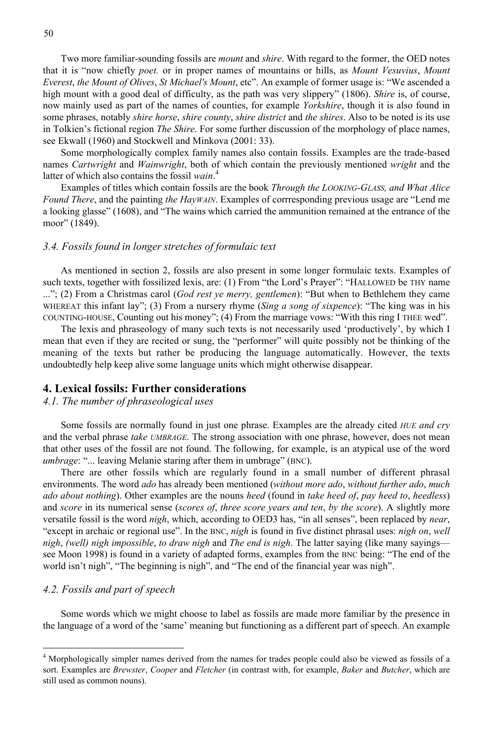Two more familiar-sounding fossils are *mount* and *shire*. With regard to the former, the OED notes that it is "now chiefly *poet.* or in proper names of mountains or hills, as *Mount Vesuvius*, *Mount Everest*, *the Mount of Olives*, *St Michael's Mount*, etc". An example of former usage is: "We ascended a high mount with a good deal of difficulty, as the path was very slippery" (1806). *Shire* is, of course, now mainly used as part of the names of counties, for example *Yorkshire*, though it is also found in some phrases, notably *shire horse*, *shire county*, *shire district* and *the shires*. Also to be noted is its use in Tolkien's fictional region *The Shire*. For some further discussion of the morphology of place names, see Ekwall (1960) and Stockwell and Minkova (2001: 33).

Some morphologically complex family names also contain fossils. Examples are the trade-based names *Cartwright* and *Wainwright*, both of which contain the previously mentioned *wright* and the latter of which also contains the fossil *wain*. 4

Examples of titles which contain fossils are the book *Through the LOOKING-GLASS, and What Alice Found There*, and the painting *the HayWAIN*. Examples of corrresponding previous usage are "Lend me a looking glasse" (1608), and "The wains which carried the ammunition remained at the entrance of the moor" (1849).

#### *3.4. Fossils found in longer stretches of formulaic text*

As mentioned in section 2, fossils are also present in some longer formulaic texts. Examples of such texts, together with fossilized lexis, are: (1) From "the Lord's Prayer": "HALLOWED be THY name ..."; (2) From a Christmas carol (*God rest ye merry, gentlemen*): "But when to Bethlehem they came WHEREAT this infant lay"; (3) From a nursery rhyme (*Sing a song of sixpence*): "The king was in his COUNTING-HOUSE, Counting out his money"; (4) From the marriage vows: "With this ring I THEE wed".

The lexis and phraseology of many such texts is not necessarily used 'productively', by which I mean that even if they are recited or sung, the "performer" will quite possibly not be thinking of the meaning of the texts but rather be producing the language automatically. However, the texts undoubtedly help keep alive some language units which might otherwise disappear.

#### **4. Lexical fossils: Further considerations**

#### *4.1. The number of phraseological uses*

Some fossils are normally found in just one phrase. Examples are the already cited *HUE and cry* and the verbal phrase *take UMBRAGE*. The strong association with one phrase, however, does not mean that other uses of the fossil are not found. The following, for example, is an atypical use of the word *umbrage*: "... leaving Melanie staring after them in umbrage" (BNC).

There are other fossils which are regularly found in a small number of different phrasal environments. The word *ado* has already been mentioned (*without more ado*, *without further ado*, *much ado about nothing*). Other examples are the nouns *heed* (found in *take heed of*, *pay heed to*, *heedless*) and *score* in its numerical sense (*scores of*, *three score years and ten*, *by the score*). A slightly more versatile fossil is the word *nigh*, which, according to OED3 has, "in all senses", been replaced by *near*, "except in archaic or regional use". In the BNC, *nigh* is found in five distinct phrasal uses: *nigh on*, *well nigh*, *(well) nigh impossible*, *to draw nigh* and *The end is nigh*. The latter saying (like many sayings see Moon 1998) is found in a variety of adapted forms, examples from the BNC being: "The end of the world isn't nigh", "The beginning is nigh", and "The end of the financial year was nigh".

#### *4.2. Fossils and part of speech*

l

Some words which we might choose to label as fossils are made more familiar by the presence in the language of a word of the 'same' meaning but functioning as a different part of speech. An example

<sup>&</sup>lt;sup>4</sup> Morphologically simpler names derived from the names for trades people could also be viewed as fossils of a sort. Examples are *Brewster*, *Cooper* and *Fletcher* (in contrast with, for example, *Baker* and *Butcher*, which are still used as common nouns).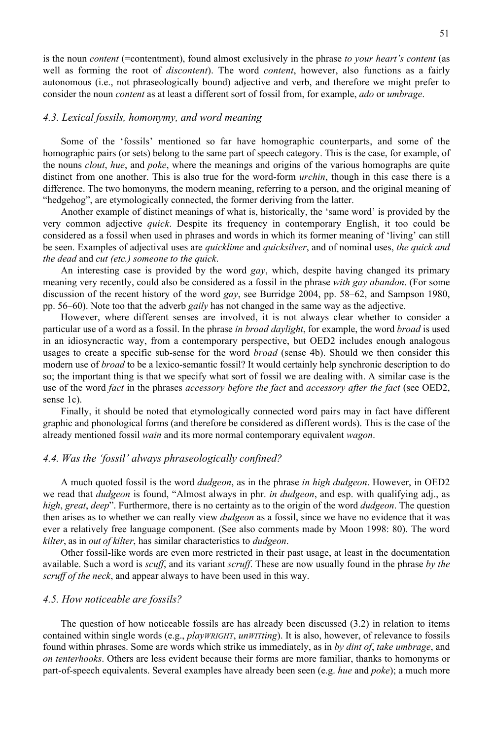is the noun *content* (=contentment), found almost exclusively in the phrase *to your heart's content* (as well as forming the root of *discontent*). The word *content*, however, also functions as a fairly autonomous (i.e., not phraseologically bound) adjective and verb, and therefore we might prefer to consider the noun *content* as at least a different sort of fossil from, for example, *ado* or *umbrage*.

#### *4.3. Lexical fossils, homonymy, and word meaning*

Some of the 'fossils' mentioned so far have homographic counterparts, and some of the homographic pairs (or sets) belong to the same part of speech category. This is the case, for example, of the nouns *clout*, *hue*, and *poke*, where the meanings and origins of the various homographs are quite distinct from one another. This is also true for the word-form *urchin*, though in this case there is a difference. The two homonyms, the modern meaning, referring to a person, and the original meaning of "hedgehog", are etymologically connected, the former deriving from the latter.

Another example of distinct meanings of what is, historically, the 'same word' is provided by the very common adjective *quick*. Despite its frequency in contemporary English, it too could be considered as a fossil when used in phrases and words in which its former meaning of 'living' can still be seen. Examples of adjectival uses are *quicklime* and *quicksilver*, and of nominal uses, *the quick and the dead* and *cut (etc.) someone to the quick*.

An interesting case is provided by the word *gay*, which, despite having changed its primary meaning very recently, could also be considered as a fossil in the phrase *with gay abandon*. (For some discussion of the recent history of the word *gay*, see Burridge 2004, pp. 58–62, and Sampson 1980, pp. 56–60). Note too that the adverb *gaily* has not changed in the same way as the adjective.

However, where different senses are involved, it is not always clear whether to consider a particular use of a word as a fossil. In the phrase *in broad daylight*, for example, the word *broad* is used in an idiosyncractic way, from a contemporary perspective, but OED2 includes enough analogous usages to create a specific sub-sense for the word *broad* (sense 4b). Should we then consider this modern use of *broad* to be a lexico-semantic fossil? It would certainly help synchronic description to do so; the important thing is that we specify what sort of fossil we are dealing with. A similar case is the use of the word *fact* in the phrases *accessory before the fact* and *accessory after the fact* (see OED2, sense 1c).

Finally, it should be noted that etymologically connected word pairs may in fact have different graphic and phonological forms (and therefore be considered as different words). This is the case of the already mentioned fossil *wain* and its more normal contemporary equivalent *wagon*.

#### *4.4. Was the 'fossil' always phraseologically confined?*

A much quoted fossil is the word *dudgeon*, as in the phrase *in high dudgeon*. However, in OED2 we read that *dudgeon* is found, "Almost always in phr. *in dudgeon*, and esp. with qualifying adj., as *high*, *great*, *deep*". Furthermore, there is no certainty as to the origin of the word *dudgeon*. The question then arises as to whether we can really view *dudgeon* as a fossil, since we have no evidence that it was ever a relatively free language component. (See also comments made by Moon 1998: 80). The word *kilter*, as in *out of kilter*, has similar characteristics to *dudgeon*.

Other fossil-like words are even more restricted in their past usage, at least in the documentation available. Such a word is *scuff*, and its variant *scruff*. These are now usually found in the phrase *by the scruff of the neck*, and appear always to have been used in this way.

#### *4.5. How noticeable are fossils?*

The question of how noticeable fossils are has already been discussed  $(3.2)$  in relation to items contained within single words (e.g., *playWRIGHT*, *unWITting*). It is also, however, of relevance to fossils found within phrases. Some are words which strike us immediately, as in *by dint of*, *take umbrage*, and *on tenterhooks*. Others are less evident because their forms are more familiar, thanks to homonyms or part-of-speech equivalents. Several examples have already been seen (e.g. *hue* and *poke*); a much more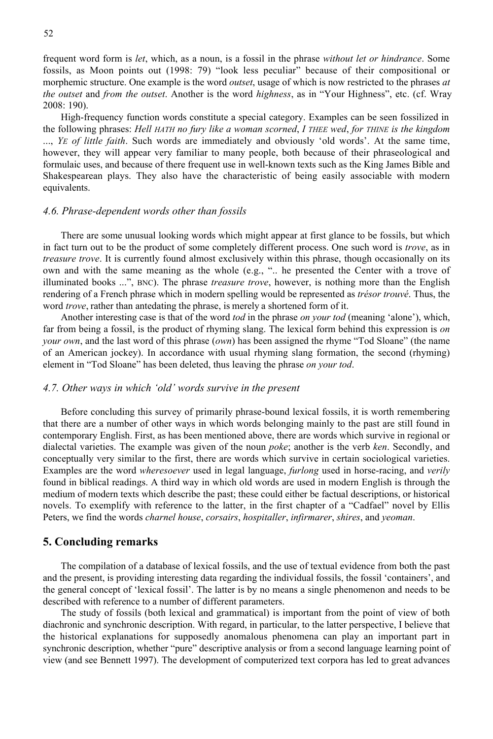frequent word form is *let*, which, as a noun, is a fossil in the phrase *without let or hindrance*. Some fossils, as Moon points out (1998: 79) "look less peculiar" because of their compositional or morphemic structure. One example is the word *outset*, usage of which is now restricted to the phrases *at the outset* and *from the outset*. Another is the word *highness*, as in "Your Highness", etc. (cf. Wray 2008: 190).

High-frequency function words constitute a special category. Examples can be seen fossilized in the following phrases: *Hell HATH no fury like a woman scorned*, *I THEE wed*, *for THINE is the kingdom* ..., *YE of little faith*. Such words are immediately and obviously 'old words'. At the same time, however, they will appear very familiar to many people, both because of their phraseological and formulaic uses, and because of there frequent use in well-known texts such as the King James Bible and Shakespearean plays. They also have the characteristic of being easily associable with modern equivalents.

#### *4.6. Phrase-dependent words other than fossils*

There are some unusual looking words which might appear at first glance to be fossils, but which in fact turn out to be the product of some completely different process. One such word is *trove*, as in *treasure trove*. It is currently found almost exclusively within this phrase, though occasionally on its own and with the same meaning as the whole (e.g., ".. he presented the Center with a trove of illuminated books ...", BNC). The phrase *treasure trove*, however, is nothing more than the English rendering of a French phrase which in modern spelling would be represented as *trésor trouvé*. Thus, the word *trove*, rather than antedating the phrase, is merely a shortened form of it.

Another interesting case is that of the word *tod* in the phrase *on your tod* (meaning 'alone'), which, far from being a fossil, is the product of rhyming slang. The lexical form behind this expression is *on your own*, and the last word of this phrase (*own*) has been assigned the rhyme "Tod Sloane" (the name of an American jockey). In accordance with usual rhyming slang formation, the second (rhyming) element in "Tod Sloane" has been deleted, thus leaving the phrase *on your tod*.

#### *4.7. Other ways in which 'old' words survive in the present*

Before concluding this survey of primarily phrase-bound lexical fossils, it is worth remembering that there are a number of other ways in which words belonging mainly to the past are still found in contemporary English. First, as has been mentioned above, there are words which survive in regional or dialectal varieties. The example was given of the noun *poke*; another is the verb *ken*. Secondly, and conceptually very similar to the first, there are words which survive in certain sociological varieties. Examples are the word *wheresoever* used in legal language, *furlong* used in horse-racing, and *verily* found in biblical readings. A third way in which old words are used in modern English is through the medium of modern texts which describe the past; these could either be factual descriptions, or historical novels. To exemplify with reference to the latter, in the first chapter of a "Cadfael" novel by Ellis Peters, we find the words *charnel house*, *corsairs*, *hospitaller*, *infirmarer*, *shires*, and *yeoman*.

#### **5. Concluding remarks**

The compilation of a database of lexical fossils, and the use of textual evidence from both the past and the present, is providing interesting data regarding the individual fossils, the fossil 'containers', and the general concept of 'lexical fossil'. The latter is by no means a single phenomenon and needs to be described with reference to a number of different parameters.

The study of fossils (both lexical and grammatical) is important from the point of view of both diachronic and synchronic description. With regard, in particular, to the latter perspective, I believe that the historical explanations for supposedly anomalous phenomena can play an important part in synchronic description, whether "pure" descriptive analysis or from a second language learning point of view (and see Bennett 1997). The development of computerized text corpora has led to great advances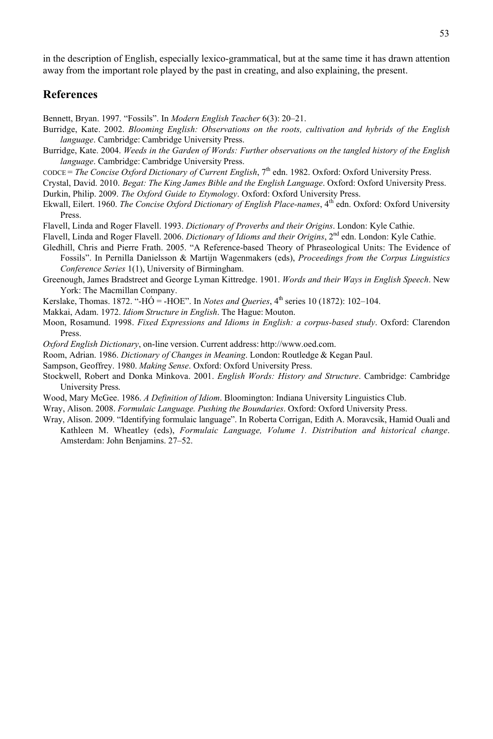in the description of English, especially lexico-grammatical, but at the same time it has drawn attention away from the important role played by the past in creating, and also explaining, the present.

### **References**

Bennett, Bryan. 1997. "Fossils". In *Modern English Teacher* 6(3): 20–21.

- Burridge, Kate. 2002. *Blooming English: Observations on the roots, cultivation and hybrids of the English language*. Cambridge: Cambridge University Press.
- Burridge, Kate. 2004. *Weeds in the Garden of Words: Further observations on the tangled history of the English language*. Cambridge: Cambridge University Press.
- CODCE = *The Concise Oxford Dictionary of Current English*, 7th edn. 1982. Oxford: Oxford University Press.
- Crystal, David. 2010. *Begat: The King James Bible and the English Language*. Oxford: Oxford University Press. Durkin, Philip. 2009. *The Oxford Guide to Etymology*. Oxford: Oxford University Press.
- Ekwall, Eilert. 1960. *The Concise Oxford Dictionary of English Place-names*, 4th edn. Oxford: Oxford University Press.
- Flavell, Linda and Roger Flavell. 1993. *Dictionary of Proverbs and their Origins*. London: Kyle Cathie.
- Flavell, Linda and Roger Flavell. 2006. *Dictionary of Idioms and their Origins*, 2<sup>nd</sup> edn. London: Kyle Cathie.
- Gledhill, Chris and Pierre Frath. 2005. "A Reference-based Theory of Phraseological Units: The Evidence of Fossils". In Pernilla Danielsson & Martijn Wagenmakers (eds), *Proceedings from the Corpus Linguistics*

*Conference Series* 1(1), University of Birmingham.

- Greenough, James Bradstreet and George Lyman Kittredge. 1901. *Words and their Ways in English Speech*. New York: The Macmillan Company.
- Kerslake, Thomas. 1872. "-HÓ = -HOE". In *Notes and Queries*,  $4<sup>th</sup>$  series 10 (1872): 102–104.
- Makkai, Adam. 1972. *Idiom Structure in English*. The Hague: Mouton.
- Moon, Rosamund. 1998. *Fixed Expressions and Idioms in English: a corpus-based study*. Oxford: Clarendon **Press**.
- *Oxford English Dictionary*, on-line version. Current address: http://www.oed.com.
- Room, Adrian. 1986. *Dictionary of Changes in Meaning*. London: Routledge & Kegan Paul.
- Sampson, Geoffrey. 1980. *Making Sense*. Oxford: Oxford University Press.
- Stockwell, Robert and Donka Minkova. 2001. *English Words: History and Structure*. Cambridge: Cambridge University Press.
- Wood, Mary McGee. 1986. *A Definition of Idiom*. Bloomington: Indiana University Linguistics Club.
- Wray, Alison. 2008. *Formulaic Language. Pushing the Boundaries*. Oxford: Oxford University Press.
- Wray, Alison. 2009. "Identifying formulaic language". In Roberta Corrigan, Edith A. Moravcsik, Hamid Ouali and Kathleen M. Wheatley (eds), *Formulaic Language, Volume 1. Distribution and historical change*. Amsterdam: John Benjamins. 27–52.